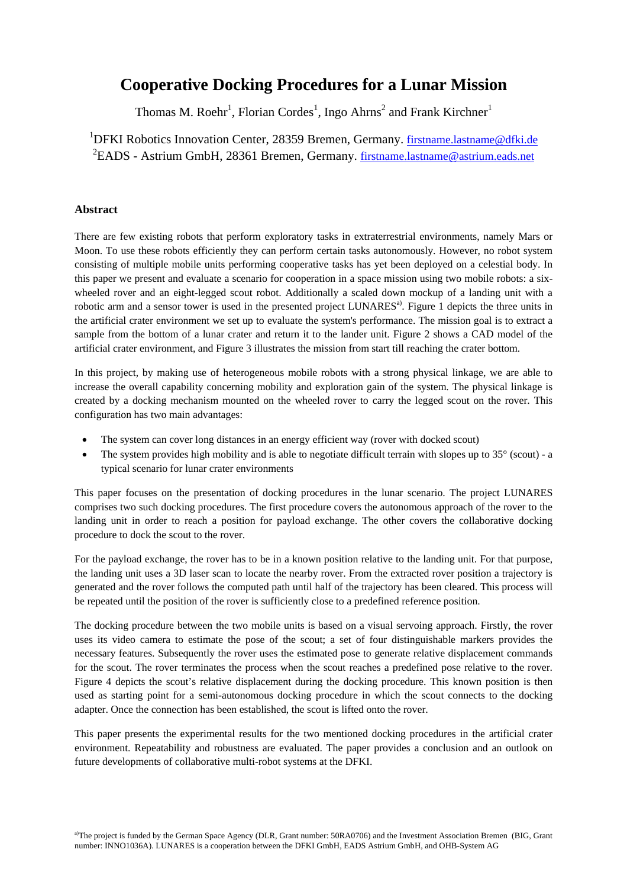## **Cooperative Docking Procedures for a Lunar Mission**

Thomas M. Roehr<sup>1</sup>, Florian Cordes<sup>1</sup>, Ingo Ahrns<sup>2</sup> and Frank Kirchner<sup>1</sup>

<sup>1</sup>DFKI Robotics Innovation Center, 28359 Bremen, Germany. firstname.lastname@dfki.de <sup>2</sup>EADS - Astrium GmbH, 28361 Bremen, Germany. firstname.lastname@astrium.eads.net

## **Abstract**

There are few existing robots that perform exploratory tasks in extraterrestrial environments, namely Mars or Moon. To use these robots efficiently they can perform certain tasks autonomously. However, no robot system consisting of multiple mobile units performing cooperative tasks has yet been deployed on a celestial body. In this paper we present and evaluate a scenario for cooperation in a space mission using two mobile robots: a sixwheeled rover and an eight-legged scout robot. Additionally a scaled down mockup of a landing unit with a robotic arm and a sensor tower is used in the presented project LUNARES<sup>a)</sup>. Figure 1 depicts the three units in the artificial crater environment we set up to evaluate the system's performance. The mission goal is to extract a sample from the bottom of a lunar crater and return it to the lander unit. Figure 2 shows a CAD model of the artificial crater environment, and Figure 3 illustrates the mission from start till reaching the crater bottom.

In this project, by making use of heterogeneous mobile robots with a strong physical linkage, we are able to increase the overall capability concerning mobility and exploration gain of the system. The physical linkage is created by a docking mechanism mounted on the wheeled rover to carry the legged scout on the rover. This configuration has two main advantages:

- The system can cover long distances in an energy efficient way (rover with docked scout)
- The system provides high mobility and is able to negotiate difficult terrain with slopes up to  $35^{\circ}$  (scout) a typical scenario for lunar crater environments

This paper focuses on the presentation of docking procedures in the lunar scenario. The project LUNARES comprises two such docking procedures. The first procedure covers the autonomous approach of the rover to the landing unit in order to reach a position for payload exchange. The other covers the collaborative docking procedure to dock the scout to the rover.

For the payload exchange, the rover has to be in a known position relative to the landing unit. For that purpose, the landing unit uses a 3D laser scan to locate the nearby rover. From the extracted rover position a trajectory is generated and the rover follows the computed path until half of the trajectory has been cleared. This process will be repeated until the position of the rover is sufficiently close to a predefined reference position.

The docking procedure between the two mobile units is based on a visual servoing approach. Firstly, the rover uses its video camera to estimate the pose of the scout; a set of four distinguishable markers provides the necessary features. Subsequently the rover uses the estimated pose to generate relative displacement commands for the scout. The rover terminates the process when the scout reaches a predefined pose relative to the rover. Figure 4 depicts the scout's relative displacement during the docking procedure. This known position is then used as starting point for a semi-autonomous docking procedure in which the scout connects to the docking adapter. Once the connection has been established, the scout is lifted onto the rover.

This paper presents the experimental results for the two mentioned docking procedures in the artificial crater environment. Repeatability and robustness are evaluated. The paper provides a conclusion and an outlook on future developments of collaborative multi-robot systems at the DFKI.